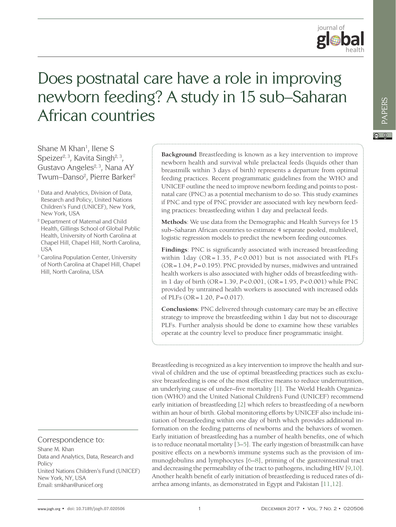

# Does postnatal care have a role in improving newborn feeding? A study in 15 sub–Saharan African countries

Shane M Khan<sup>1</sup>, Ilene S Speizer $2, 3$ , Kavita Singh $2, 3$ , Gustavo Angeles<sup>2, 3</sup>, Nana AY Twum–Danso $^2$ , Pierre Barker $^2$ 

- <sup>1</sup> Data and Analytics, Division of Data, Research and Policy, United Nations Children's Fund (UNICEF), New York, New York, USA
- <sup>2</sup> Department of Maternal and Child Health, Gillings School of Global Public Health, University of North Carolina at Chapel Hill, Chapel Hill, North Carolina, USA
- <sup>3</sup> Carolina Population Center, University of North Carolina at Chapel Hill, Chapel Hill, North Carolina, USA

### Correspondence to:

Shane M. Khan Data and Analytics, Data, Research and Policy United Nations Children's Fund (UNICEF) New York, NY, USA Email: smkhan@unicef.org

**Background** Breastfeeding is known as a key intervention to improve newborn health and survival while prelacteal feeds (liquids other than breastmilk within 3 days of birth) represents a departure from optimal feeding practices. Recent programmatic guidelines from the WHO and UNICEF outline the need to improve newborn feeding and points to postnatal care (PNC) as a potential mechanism to do so. This study examines if PNC and type of PNC provider are associated with key newborn feeding practices: breastfeeding within 1 day and prelacteal feeds.

**Methods**: We use data from the Demographic and Health Surveys for 15 sub–Saharan African countries to estimate 4 separate pooled, multilevel, logistic regression models to predict the newborn feeding outcomes.

**Findings**: PNC is significantly associated with increased breastfeeding within 1day (OR= 1.35, *P* < 0.001) but is not associated with PLFs (OR=1.04, *P*=0.195). PNC provided by nurses, midwives and untrained health workers is also associated with higher odds of breastfeeding within 1 day of birth (OR=1.39, *P*<0.001, (OR=1.95, *P*<0.001) while PNC provided by untrained health workers is associated with increased odds of PLFs (OR=1.20, *P*=0.017).

**Conclusions**: PNC delivered through customary care may be an effective strategy to improve the breastfeeding within 1 day but not to discourage PLFs. Further analysis should be done to examine how these variables operate at the country level to produce finer programmatic insight.

Breastfeeding is recognized as a key intervention to improve the health and survival of children and the use of optimal breastfeeding practices such as exclusive breastfeeding is one of the most effective means to reduce undernutrition, an underlying cause of under–five mortality [[1\]](#page-12-0). The World Health Organization (WHO) and the United National Children's Fund (UNICEF) recommend early initiation of breastfeeding [[2](#page-12-1)] which refers to breastfeeding of a newborn within an hour of birth. Global monitoring efforts by UNICEF also include initiation of breastfeeding within one day of birth which provides additional information on the feeding patterns of newborns and the behaviors of women. Early initiation of breastfeeding has a number of health benefits, one of which is to reduce neonatal mortality [[3–](#page-12-2)[5](#page-12-3)]. The early ingestion of breastmilk can have positive effects on a newborn's immune systems such as the provision of immunoglobulins and lymphocytes [[6–](#page-12-4)[8](#page-12-5)], priming of the gastrointestinal tract and decreasing the permeability of the tract to pathogens, including HIV [[9](#page-12-6)[,10](#page-12-7)]. Another health benefit of early initiation of breastfeeding is reduced rates of diarrhea among infants, as demonstrated in Egypt and Pakistan [[11,12\]](#page-12-8).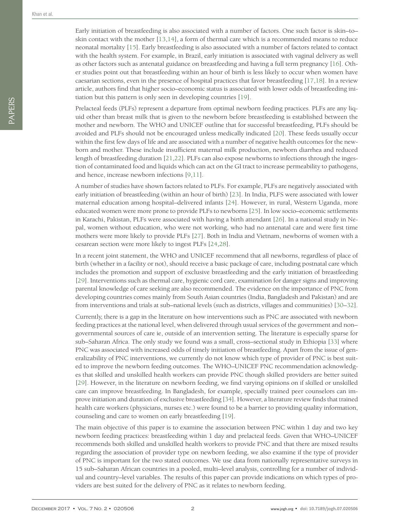Early initiation of breastfeeding is also associated with a number of factors. One such factor is skin–to– skin contact with the mother [[13](#page-13-0),[14](#page-13-1)], a form of thermal care which is a recommended means to reduce neonatal mortality [[15\]](#page-13-2). Early breastfeeding is also associated with a number of factors related to contact with the health system. For example, in Brazil, early initiation is associated with vaginal delivery as well as other factors such as antenatal guidance on breastfeeding and having a full term pregnancy [[16](#page-13-3)]. Other studies point out that breastfeeding within an hour of birth is less likely to occur when women have caesarian sections, even in the presence of hospital practices that favor breastfeeding  $[17,18]$  $[17,18]$  $[17,18]$  $[17,18]$  $[17,18]$ . In a review article, authors find that higher socio–economic status is associated with lower odds of breastfeeding initiation but this pattern is only seen in developing countries [[19](#page-13-6)].

Prelacteal feeds (PLFs) represent a departure from optimal newborn feeding practices. PLFs are any liquid other than breast milk that is given to the newborn before breastfeeding is established between the mother and newborn. The WHO and UNICEF outline that for successful breastfeeding, PLFs should be avoided and PLFs should not be encouraged unless medically indicated [[20\]](#page-13-7). These feeds usually occur within the first few days of life and are associated with a number of negative health outcomes for the newborn and mother. These include insufficient maternal milk production, newborn diarrhea and reduced length of breastfeeding duration [[21](#page-13-8)[,22](#page-13-9)]. PLFs can also expose newborns to infections through the ingestion of contaminated food and liquids which can act on the GI tract to increase permeability to pathogens, and hence, increase newborn infections [[9](#page-12-6),[11](#page-12-8)].

A number of studies have shown factors related to PLFs. For example, PLFs are negatively associated with early initiation of breastfeeding (within an hour of birth) [[23](#page-13-10)]. In India, PLFS were associated with lower maternal education among hospital–delivered infants [[24](#page-13-11)]. However, in rural, Western Uganda, more educated women were more prone to provide PLFs to newborns [[25\]](#page-13-12). In low socio–economic settlements in Karachi, Pakistan, PLFs were associated with having a birth attendant [[26\]](#page-13-13). In a national study in Nepal, women without education, who were not working, who had no antenatal care and were first time mothers were more likely to provide PLFs [[27\]](#page-13-14). Both in India and Vietnam, newborns of women with a cesarean section were more likely to ingest PLFs [[24](#page-13-11),[28](#page-13-15)].

In a recent joint statement, the WHO and UNICEF recommend that all newborns, regardless of place of birth (whether in a facility or not), should receive a basic package of care, including postnatal care which includes the promotion and support of exclusive breastfeeding and the early initiation of breastfeeding [[29](#page-13-16)]. Interventions such as thermal care, hygienic cord care, examination for danger signs and improving parental knowledge of care seeking are also recommended. The evidence on the importance of PNC from developing countries comes mainly from South Asian countries (India, Bangladesh and Pakistan) and are from interventions and trials at sub–national levels (such as districts, villages and communities) [[30–](#page-13-17)[32](#page-13-18)].

Currently, there is a gap in the literature on how interventions such as PNC are associated with newborn feeding practices at the national level, when delivered through usual services of the government and non– governmental sources of care ie, outside of an intervention setting. The literature is especially sparse for sub–Saharan Africa. The only study we found was a small, cross–sectional study in Ethiopia [[33](#page-13-19)] where PNC was associated with increased odds of timely initiation of breastfeeding. Apart from the issue of generalizability of PNC interventions, we currently do not know which type of provider of PNC is best suited to improve the newborn feeding outcomes. The WHO–UNICEF PNC recommendation acknowledges that skilled and unskilled health workers can provide PNC though skilled providers are better suited [[29](#page-13-16)]. However, in the literature on newborn feeding, we find varying opinions on if skilled or unskilled care can improve breastfeeding. In Bangladesh, for example, specially trained peer counselors can improve initiation and duration of exclusive breastfeeding [[34](#page-13-20)]. However, a literature review finds that trained health care workers (physicians, nurses etc.) were found to be a barrier to providing quality information, counseling and care to women on early breastfeeding [[19](#page-13-6)].

The main objective of this paper is to examine the association between PNC within 1 day and two key newborn feeding practices: breastfeeding within 1 day and prelacteal feeds. Given that WHO–UNICEF recommends both skilled and unskilled health workers to provide PNC and that there are mixed results regarding the association of provider type on newborn feeding, we also examine if the type of provider of PNC is important for the two stated outcomes. We use data from nationally representative surveys in 15 sub–Saharan African countries in a pooled, multi–level analysis, controlling for a number of individual and country–level variables. The results of this paper can provide indications on which types of providers are best suited for the delivery of PNC as it relates to newborn feeding.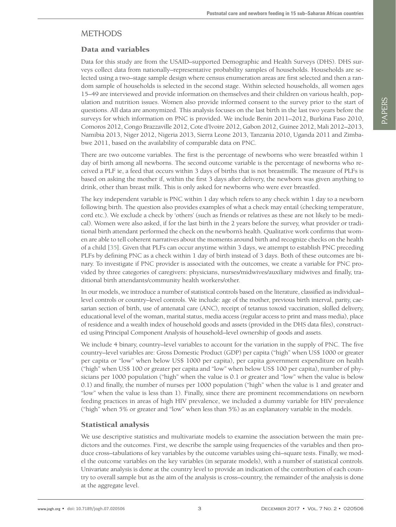## **METHODS**

### Data and variables

Data for this study are from the USAID–supported Demographic and Health Surveys (DHS). DHS surveys collect data from nationally–representative probability samples of households. Households are selected using a two–stage sample design where census enumeration areas are first selected and then a random sample of households is selected in the second stage. Within selected households, all women ages 15–49 are interviewed and provide information on themselves and their children on various health, population and nutrition issues. Women also provide informed consent to the survey prior to the start of questions. All data are anonymized. This analysis focuses on the last birth in the last two years before the surveys for which information on PNC is provided. We include Benin 2011–2012, Burkina Faso 2010, Comoros 2012, Congo Brazzaville 2012, Cote d'Ivoire 2012, Gabon 2012, Guinee 2012, Mali 2012–2013, Namibia 2013, Niger 2012, Nigeria 2013, Sierra Leone 2013, Tanzania 2010, Uganda 2011 and Zimbabwe 2011, based on the availability of comparable data on PNC.

There are two outcome variables. The first is the percentage of newborns who were breastfed within 1 day of birth among all newborns. The second outcome variable is the percentage of newborns who received a PLF ie, a feed that occurs within 3 days of births that is not breastmilk. The measure of PLFs is based on asking the mother if, within the first 3 days after delivery, the newborn was given anything to drink, other than breast milk. This is only asked for newborns who were ever breastfed.

The key independent variable is PNC within 1 day which refers to any check within 1 day to a newborn following birth. The question also provides examples of what a check may entail (checking temperature, cord etc.). We exclude a check by 'others' (such as friends or relatives as these are not likely to be medical). Women were also asked, if for the last birth in the 2 years before the survey, what provider or traditional birth attendant performed the check on the newborn's health. Qualitative work confirms that women are able to tell coherent narratives about the moments around birth and recognize checks on the health of a child [[35\]](#page-13-21). Given that PLFs can occur anytime within 3 days, we attempt to establish PNC preceding PLFs by defining PNC as a check within 1 day of birth instead of 3 days. Both of these outcomes are binary. To investigate if PNC provider is associated with the outcomes, we create a variable for PNC provided by three categories of caregivers: physicians, nurses/midwives/auxiliary midwives and finally, traditional birth attendants/community health workers/other.

In our models, we introduce a number of statistical controls based on the literature, classified as individual– level controls or country–level controls. We include: age of the mother, previous birth interval, parity, caesarian section of birth, use of antenatal care (ANC), receipt of tetanus toxoid vaccination, skilled delivery, educational level of the woman, marital status, media access (regular access to print and mass media), place of residence and a wealth index of household goods and assets (provided in the DHS data files), constructed using Principal Component Analysis of household–level ownership of goods and assets.

We include 4 binary, country–level variables to account for the variation in the supply of PNC. The five country–level variables are: Gross Domestic Product (GDP) per capita ("high" when US\$ 1000 or greater per capita or "low" when below US\$ 1000 per capita), per capita government expenditure on health ("high" when US\$ 100 or greater per capita and "low" when below US\$ 100 per capita), number of physicians per 1000 population ("high" when the value is 0.1 or greater and "low" when the value is below 0.1) and finally, the number of nurses per 1000 population ("high" when the value is 1 and greater and "low" when the value is less than 1). Finally, since there are prominent recommendations on newborn feeding practices in areas of high HIV prevalence, we included a dummy variable for HIV prevalence ("high" when 5% or greater and "low" when less than 5%) as an explanatory variable in the models.

#### Statistical analysis

We use descriptive statistics and multivariate models to examine the association between the main predictors and the outcomes. First, we describe the sample using frequencies of the variables and then produce cross–tabulations of key variables by the outcome variables using chi–square tests. Finally, we model the outcome variables on the key variables (in separate models), with a number of statistical controls. Univariate analysis is done at the country level to provide an indication of the contribution of each country to overall sample but as the aim of the analysis is cross–country, the remainder of the analysis is done at the aggregate level.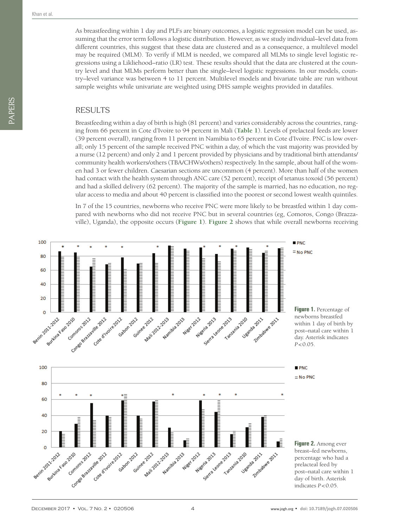As breastfeeding within 1 day and PLFs are binary outcomes, a logistic regression model can be used, assuming that the error term follows a logistic distribution. However, as we study individual–level data from different countries, this suggest that these data are clustered and as a consequence, a multilevel model may be required (MLM). To verify if MLM is needed, we compared all MLMs to single level logistic regressions using a Likliehood–ratio (LR) test. These results should that the data are clustered at the country level and that MLMs perform better than the single–level logistic regressions. In our models, country–level variance was between 4 to 11 percent. Multilevel models and bivariate table are run without sample weights while univariate are weighted using DHS sample weights provided in datafiles.

#### RESULTS

Breastfeeding within a day of birth is high (81 percent) and varies considerably across the countries, ranging from 66 percent in Cote d'Ivoire to 94 percent in Mali (**[Table 1](#page-4-0)**). Levels of prelacteal feeds are lower (39 percent overall), ranging from 11 percent in Namibia to 65 percent in Cote d'Ivoire. PNC is low overall; only 15 percent of the sample received PNC within a day, of which the vast majority was provided by a nurse (12 percent) and only 2 and 1 percent provided by physicians and by traditional birth attendants/ community health workers/others (TBA/CHWs/others) respectively. In the sample, about half of the women had 3 or fewer children. Caesarian sections are uncommon (4 percent). More than half of the women had contact with the health system through ANC care (52 percent), receipt of tetanus toxoid (56 percent) and had a skilled delivery (62 percent). The majority of the sample is married, has no education, no regular access to media and about 40 percent is classified into the poorest or second lowest wealth quintiles.

In 7 of the 15 countries, newborns who receive PNC were more likely to be breastfed within 1 day compared with newborns who did not receive PNC but in several countries (eg, Comoros, Congo (Brazzaville), Uganda), the opposite occurs (**[Figure 1](#page-3-0)**). **[Figure 2](#page-3-1)** shows that while overall newborns receiving

<span id="page-3-1"></span><span id="page-3-0"></span>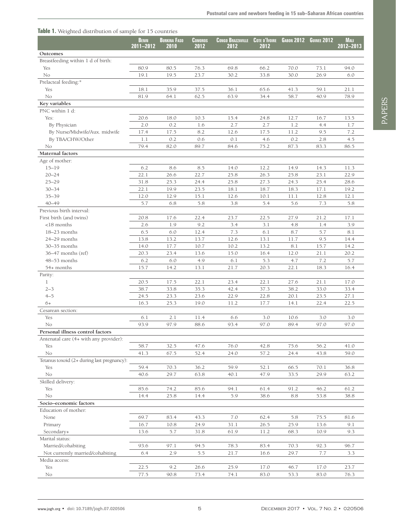#### <span id="page-4-0"></span>**Table 1.** Weighted distribution of sample for 15 countries

|                                            | <b>BENIN</b><br>2011-2012 | <b>BURKINA FASO</b><br>2010 | <b>COMOROS</b><br>2012 | <b>CONGO BRAZZAVILLE</b><br>2012 | <b>COTE D'IVOIRE</b><br>2012 | <b>GABON 2012</b> | <b>GUINEE 2012</b> | <b>MALI</b><br>2012-2013 |
|--------------------------------------------|---------------------------|-----------------------------|------------------------|----------------------------------|------------------------------|-------------------|--------------------|--------------------------|
|                                            |                           |                             |                        |                                  |                              |                   |                    |                          |
| Outcomes                                   |                           |                             |                        |                                  |                              |                   |                    |                          |
| Breastfeeding within 1 d of birth:         |                           |                             |                        |                                  |                              |                   |                    |                          |
| Yes                                        | 80.9                      | 80.5                        | 76.3                   | 69.8                             | 66.2                         | 70.0              | 73.1               | 94.0                     |
| No                                         | 19.1                      | 19.5                        | 23.7                   | 30.2                             | 33.8                         | 30.0              | 26.9               | 6.0                      |
| Prelacteal feeding:*                       |                           |                             |                        |                                  |                              |                   |                    |                          |
| Yes                                        | 18.1                      | 35.9                        | 37.5                   | 36.1                             | 65.6                         | 41.3              | 59.1               | 21.1                     |
| No                                         | 81.9                      | 64.1                        | 62.5                   | 63.9                             | 34.4                         | 58.7              | 40.9               | 78.9                     |
| Key variables                              |                           |                             |                        |                                  |                              |                   |                    |                          |
| PNC within 1 d:                            |                           |                             |                        |                                  |                              |                   |                    |                          |
| Yes:                                       | 20.6                      | 18.0                        | 10.3                   | 15.4                             | 24.8                         | 12.7              | 16.7               | 13.5                     |
| By Physician                               | 2.0                       | 0.2                         | 1.6                    | 2.7                              | 2.7                          | 1.2               | 4.4                | 1.7                      |
| By Nurse/Midwife/Aux. midwife              | 17.4                      | 17.5                        | 8.2                    | 12.6                             | 17.5                         | 11.2              | 9.5                | 7.2                      |
| By TBA/CHW/Other                           | 1.1                       | 0.2                         | 0.6                    | 0.1                              | 4.6                          | 0.2               | 2.8                | 4.5                      |
| No                                         | 79.4                      | 82.0                        | 89.7                   | 84.6                             | 75.2                         | 87.3              | 83.3               | 86.5                     |
| Maternal factors                           |                           |                             |                        |                                  |                              |                   |                    |                          |
| Age of mother:                             |                           |                             |                        |                                  |                              |                   |                    |                          |
| $15 - 19$                                  | 6.2                       | 8.6                         | 8.5                    | 14.0                             | 12.2                         | 14.9              | 14.3               | 11.3                     |
| $20 - 24$                                  | 22.1                      | 26.6                        | 22.7                   | 25.8                             | 26.3                         | 25.8              | 23.1               | 22.9                     |
| $25 - 29$                                  | 31.8                      | 25.3                        | 24.4                   | 25.8                             | 27.3                         | 24.3              | 25.4               | 28.6                     |
| $30 - 34$                                  | 22.1                      | 19.9                        | 23.5                   | 18.1                             | 18.7                         | 18.3              | 17.1               | 19.2                     |
| $35 - 39$                                  | 12.0                      | 12.9                        | 15.1                   | 12.6                             | 10.1                         | 11.1              | 12.8               | 12.1                     |
| $40 - 49$                                  | 5.7                       | 6.8                         | 5.8                    | 3.8                              | 5.4                          | 5.6               | 7.3                | 5.8                      |
| Previous birth interval:                   |                           |                             |                        |                                  |                              |                   |                    |                          |
| First birth (and twins)                    | 20.8                      | 17.6                        | 22.4                   | 23.7                             | 22.5                         | 27.9              | 21.2               | 17.1                     |
| $<$ 18 months                              | 2.6                       | 1.9                         | 9.2                    | 3.4                              | 3.1                          | 4.8               | 1.4                | 3.9                      |
| 18-23 months                               | 6.5                       | 6.0                         | 12.4                   | 7.3                              | 6.1                          | 8.7               | 5.7                | 8.1                      |
| 24–29 months                               | 13.8                      | 13.2                        | 13.7                   | 12.6                             | 13.1                         | 11.7              | 9.5                | 14.4                     |
| $30 - 35$ months                           | 14.0                      | 17.7                        | 10.7                   | 10.2                             | 13.2                         | 8.1               | 15.7               | 14.2                     |
| 36–47 months (ref)                         | 20.3                      | 23.4                        | 13.6                   | 15.0                             | 16.4                         | 12.0              | 21.1               | 20.2                     |
| 48-53 months                               | 6.2                       | 6.0                         | 4.9                    | 6.1                              | 5.3                          | 4.7               | 7.2                | 5.7                      |
| 54+ months                                 | 15.7                      | 14.2                        | 13.1                   | 21.7                             | 20.3                         | 22.1              | 18.3               | 16.4                     |
| Parity:                                    |                           |                             |                        |                                  |                              |                   |                    |                          |
| $\mathbf{1}$                               | 20.5                      | 17.5                        | 22.1                   | 23.4                             | 22.1                         | 27.6              | 21.1               | 17.0                     |
| $2 - 3$                                    | 38.7                      | 33.8                        | 35.3                   | 42.4                             | 37.3                         | 38.2              | 33.0               | 33.4                     |
| $4 - 5$                                    | 24.5                      | 23.3                        | 23.6                   | 22.9                             | 22.8                         | 20.1              | 23.5               | 27.1                     |
| $6+$                                       | 16.3                      | 25.3                        | 19.0                   | 11.2                             | 17.7                         | 14.1              | 22.4               | 22.5                     |
| Cesarean section:                          |                           |                             |                        |                                  |                              |                   |                    |                          |
| Yes                                        | 6.1                       | 2.1                         | 11.4                   | 6.6                              | 3.0                          | 10.6              | 3.0                | 3.0                      |
| No                                         | 93.9                      | 97.9                        | 88.6                   | 93.4                             | 97.0                         | 89.4              | 97.0               | 97.0                     |
| Personal illness control factors           |                           |                             |                        |                                  |                              |                   |                    |                          |
| Antenatal care (4+ with any provider):     |                           |                             |                        |                                  |                              |                   |                    |                          |
| Yes                                        | 58.7                      | 32.5                        | 47.6                   | 76.0                             | 42.8                         | 75.6              | 56.2               | 41.0                     |
| No                                         | 41.3                      | 67.5                        | 52.4                   | 24.0                             | 57.2                         | 24.4              | 43.8               | 59.0                     |
| Tetanus toxoid (2+ during last pregnancy): |                           |                             |                        |                                  |                              |                   |                    |                          |
| Yes                                        | 59.4                      | 70.3                        | 36.2                   | 59.9                             | 52.1                         | 66.5              | 70.1               | 36.8                     |
| No                                         | 40.6                      | 29.7                        | 63.8                   | 40.1                             | 47.9                         | 33.5              | 29.9               | 63.2                     |
| Skilled delivery:                          |                           |                             |                        |                                  |                              |                   |                    |                          |
| Yes                                        | 85.6                      | 74.2                        | 85.6                   | 94.1                             | 61.4                         | 91.2              | 46.2               | 61.2                     |
| No                                         | 14.4                      | 25.8                        | 14.4                   | 5.9                              | 38.6                         | 8.8               | 53.8               | 38.8                     |
| Socio-economic factors                     |                           |                             |                        |                                  |                              |                   |                    |                          |
|                                            |                           |                             |                        |                                  |                              |                   |                    |                          |
| Education of mother:                       |                           |                             |                        | 7.0                              |                              | 5.8               |                    |                          |
| None                                       | 69.7                      | 83.4                        | 43.3                   |                                  | 62.4                         |                   | 75.5               | 81.6                     |
| Primary                                    | 16.7                      | 10.8                        | 24.9                   | 31.1                             | 26.5                         | 25.9              | 13.6               | 9.1                      |
| Secondary+                                 | 13.6                      | 5.7                         | 31.8                   | 61.9                             | 11.2                         | 68.3              | 10.9               | 9.3                      |
| Marital status:                            |                           |                             |                        |                                  |                              |                   |                    |                          |
| Married/cohabiting                         | 93.6                      | 97.1                        | 94.5                   | 78.3                             | 83.4                         | 70.3              | 92.3               | 96.7                     |
| Not currently married/cohabiting           | 6.4                       | 2.9                         | 5.5                    | 21.7                             | 16.6                         | 29.7              | 7.7                | 3.3                      |
| Media access:                              |                           |                             |                        |                                  |                              |                   |                    |                          |
| Yes                                        | 22.5                      | 9.2                         | 26.6                   | 25.9                             | 17.0                         | 46.7              | 17.0               | 23.7                     |
| No                                         | 77.5                      | 90.8                        | 73.4                   | 74.1                             | 83.0                         | 53.3              | 83.0               | 76.3                     |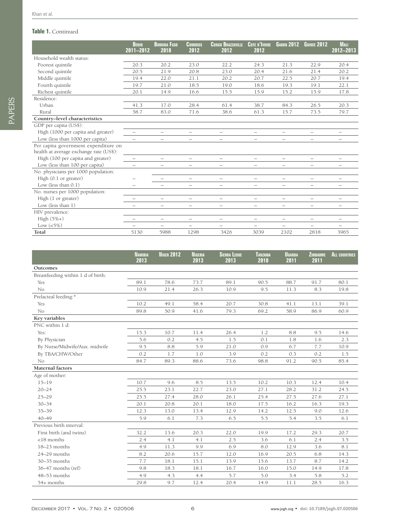#### **Table 1.** Continued

|                                                                                 | <b>BENIN</b><br>2011-2012 | <b>BURKINA FASO</b><br>2010 | <b>COMOROS</b><br>2012   | <b>CONGO BRAZZAVILLE</b><br>2012 | <b>COTE D'IVOIRE</b><br>2012 | <b>GABON 2012</b>        | <b>GUINEE 2012</b>       | <b>MALI</b><br>2012-2013 |
|---------------------------------------------------------------------------------|---------------------------|-----------------------------|--------------------------|----------------------------------|------------------------------|--------------------------|--------------------------|--------------------------|
| Household wealth status:                                                        |                           |                             |                          |                                  |                              |                          |                          |                          |
| Poorest quintile                                                                | 20.3                      | 20.2                        | 23.0                     | 22.2                             | 24.3                         | 21.3                     | 22.9                     | 20.4                     |
| Second quintile                                                                 | 20.5                      | 21.9                        | 20.8                     | 23.0                             | 20.4                         | 21.6                     | 21.4                     | 20.2                     |
| Middle quintile                                                                 | 19.4                      | 22.0                        | 21.1                     | 20.2                             | 20.7                         | 22.5                     | 20.7                     | 19.4                     |
| Fourth quintile                                                                 | 19.7                      | 21.0                        | 18.5                     | 19.0                             | 18.6                         | 19.3                     | 19.1                     | 22.1                     |
| Richest quintile                                                                | 20.1                      | 14.9                        | 16.6                     | 15.5                             | 15.9                         | 15.2                     | 15.9                     | 17.8                     |
| Residence:                                                                      |                           |                             |                          |                                  |                              |                          |                          |                          |
| Urban                                                                           | 41.3                      | 17.0                        | 28.4                     | 61.4                             | 38.7                         | 84.3                     | 26.5                     | 20.3                     |
| Rural                                                                           | 58.7                      | 83.0                        | 71.6                     | 38.6                             | 61.3                         | 15.7                     | 73.5                     | 79.7                     |
| Country-level characteristics                                                   |                           |                             |                          |                                  |                              |                          |                          |                          |
| GDP per capita (US\$):                                                          |                           |                             |                          |                                  |                              |                          |                          |                          |
| High (1000 per capita and greater)                                              |                           |                             | $\qquad \qquad -$        |                                  |                              | —                        | $\qquad \qquad -$        | $\overline{\phantom{0}}$ |
| Low (less than 1000 per capita)                                                 |                           | $\overline{\phantom{m}}$    | $\overline{\phantom{0}}$ | $\overline{\phantom{0}}$         | $\overline{\phantom{0}}$     | $\overline{\phantom{m}}$ | $\overline{\phantom{0}}$ | $\overline{\phantom{0}}$ |
| Per capita government expenditure on<br>health at average exchange rate (US\$): |                           |                             |                          |                                  |                              |                          |                          |                          |
| High (100 per capita and greater)                                               |                           |                             | $\overline{\phantom{0}}$ | $\overline{\phantom{m}}$         | $\overline{\phantom{0}}$     | $\overline{\phantom{m}}$ | $\overline{\phantom{0}}$ | $\qquad \qquad$          |
| Low (less than 100 per capita)                                                  |                           |                             |                          | $\overline{\phantom{0}}$         | $\overline{\phantom{0}}$     |                          | $\overline{\phantom{0}}$ | $\overline{\phantom{m}}$ |
| No. physicians per 1000 population:                                             |                           |                             |                          |                                  |                              |                          |                          |                          |
| High $(0.1 \text{ or greater})$                                                 |                           |                             | $\qquad \qquad -$        | $\overline{\phantom{0}}$         | $\overline{\phantom{0}}$     | $\overline{\phantom{m}}$ | $\qquad \qquad -$        | $\qquad \qquad -$        |
| Low (less than $0.1$ )                                                          | $\equiv$                  |                             | $\overline{\phantom{0}}$ | $\overline{\phantom{0}}$         | $\overline{\phantom{0}}$     | $\overline{\phantom{m}}$ | $\overline{\phantom{0}}$ | $\overline{\phantom{m}}$ |
| No. nurses per 1000 population:                                                 |                           |                             |                          |                                  |                              |                          |                          |                          |
| High (1 or greater)                                                             |                           | $\overline{\phantom{m}}$    | $\overline{\phantom{0}}$ | $\overline{\phantom{m}}$         | $\overline{\phantom{0}}$     | $\overline{\phantom{m}}$ | $\overline{\phantom{0}}$ | $\overline{\phantom{0}}$ |
| Low (less than 1)                                                               | -                         | $\overline{\phantom{m}}$    | $\overline{\phantom{0}}$ | $\overline{\phantom{m}}$         | $\qquad \qquad -$            | $\overline{\phantom{0}}$ | $\overline{\phantom{0}}$ | $\overline{\phantom{m}}$ |
| HIV prevalence:                                                                 |                           |                             |                          |                                  |                              |                          |                          |                          |
| $High (5\%+)$                                                                   |                           | $\equiv$                    | $\overline{\phantom{m}}$ | $\overline{\phantom{m}}$         | $\overline{\phantom{0}}$     | $\overline{\phantom{m}}$ | $\qquad \qquad -$        | $\overline{\phantom{0}}$ |
| Low $(<5\%)$                                                                    |                           |                             | $\qquad \qquad -$        |                                  | $\overline{\phantom{0}}$     | —                        | —                        |                          |
| Total                                                                           | 5130                      | 5988                        | 1298                     | 3426                             | 3039                         | 2102                     | 2818                     | 3965                     |

|                                    | <b>NAMIBIA</b><br>2013 | <b>NIGER 2012</b> | <b>NIGERIA</b><br>2013 | <b>SIERRA LEONE</b><br>2013 | <b>TANZANIA</b><br>2010 | <b>UGANDA</b><br>2011 | <b>ZIMBABWE</b><br>2011 | <b>ALL COUNTRIES</b> |
|------------------------------------|------------------------|-------------------|------------------------|-----------------------------|-------------------------|-----------------------|-------------------------|----------------------|
| Outcomes                           |                        |                   |                        |                             |                         |                       |                         |                      |
| Breastfeeding within 1 d of birth: |                        |                   |                        |                             |                         |                       |                         |                      |
| Yes                                | 89.1                   | 78.6              | 73.7                   | 89.1                        | 90.5                    | 88.7                  | 91.7                    | 80.1                 |
| No                                 | 10.9                   | 21.4              | 26.3                   | 10.9                        | 9.5                     | 11.3                  | 8.3                     | 19.8                 |
| Prelacteal feeding:*               |                        |                   |                        |                             |                         |                       |                         |                      |
| Yes                                | 10.2                   | 49.1              | 58.4                   | 20.7                        | 30.8                    | 41.1                  | 13.1                    | 39.1                 |
| No                                 | 89.8                   | 50.9              | 41.6                   | 79.3                        | 69.2                    | 58.9                  | 86.9                    | 60.9                 |
| Key variables                      |                        |                   |                        |                             |                         |                       |                         |                      |
| PNC within 1 d:                    |                        |                   |                        |                             |                         |                       |                         |                      |
| Yes:                               | 15.3                   | 10.7              | 11.4                   | 26.4                        | 1.2                     | 8.8                   | 9.5                     | 14.6                 |
| By Physician                       | 5.6                    | 0.2               | 4.5                    | 1.5                         | 0.1                     | 1.8                   | 1.6                     | 2.3                  |
| By Nurse/Midwife/Aux. midwife      | 9.5                    | 8.8               | 5.9                    | 21.0                        | 0.9                     | 6.7                   | 7.7                     | 10.9                 |
| By TBA/CHW/Other                   | 0.2                    | 1.7               | 1.0                    | 3.9                         | 0.2                     | 0.3                   | 0.2                     | 1.5                  |
| No                                 | 84.7                   | 89.3              | 88.6                   | 73.6                        | 98.8                    | 91.2                  | 90.5                    | 85.4                 |
| Maternal factors                   |                        |                   |                        |                             |                         |                       |                         |                      |
| Age of mother:                     |                        |                   |                        |                             |                         |                       |                         |                      |
| $15 - 19$                          | 10.7                   | 9.6               | 8.5                    | 13.5                        | 10.2                    | 10.3                  | 12.4                    | 10.4                 |
| $20 - 24$                          | 25.5                   | 23.1              | 22.7                   | 23.0                        | 27.1                    | 28.2                  | 31.2                    | 24.5                 |
| $25 - 29$                          | 25.5                   | 27.4              | 28.0                   | 26.1                        | 25.4                    | 27.5                  | 27.6                    | 27.1                 |
| $30 - 34$                          | 20.1                   | 20.8              | 20.1                   | 18.0                        | 17.5                    | 16.2                  | 16.3                    | 19.3                 |
| $35 - 39$                          | 12.3                   | 13.0              | 13.4                   | 12.9                        | 14.2                    | 12.5                  | 9.0                     | 12.6                 |
| $40 - 49$                          | 5.9                    | 6.1               | 7.3                    | 6.5                         | 5.5                     | 5.4                   | 3.5                     | 6.1                  |
| Previous birth interval:           |                        |                   |                        |                             |                         |                       |                         |                      |
| First birth (and twins)            | 32.2                   | 13.6              | 20.3                   | 22.0                        | 19.9                    | 17.2                  | 29.3                    | 20.7                 |
| $<$ 18 months                      | 2.4                    | 4.1               | 4.1                    | 2.5                         | 3.6                     | 6.1                   | 2.4                     | 3.5                  |
| 18-23 months                       | 4.9                    | 11.3              | 9.9                    | 6.9                         | 8.0                     | 12.9                  | 3.6                     | 8.1                  |
| 24-29 months                       | 8.2                    | 20.6              | 15.7                   | 12.0                        | 16.9                    | 20.5                  | 6.8                     | 14.3                 |
| $30 - 35$ months                   | 7.7                    | 18.1              | 15.1                   | 13.9                        | 15.6                    | 13.7                  | 8.7                     | 14.2                 |
| 36–47 months (ref)                 | 9.8                    | 18.3              | 18.1                   | 16.7                        | 16.0                    | 15.0                  | 14.9                    | 17.8                 |
| 48-53 months                       | 4.9                    | 4.3               | 4.4                    | 5.7                         | 5.0                     | 3.4                   | 5.8                     | 5.2                  |
| 54+ months                         | 29.8                   | 9.7               | 12.4                   | 20.4                        | 14.9                    | 11.1                  | 28.5                    | 16.3                 |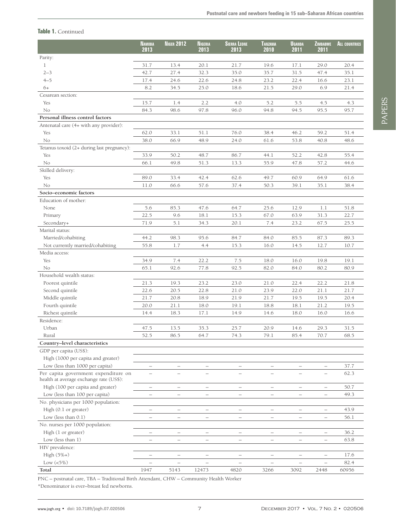# PAPERS **PAPERS**

|                                                                                 | <b>N</b> amibia<br>2013  | <b>NIGER 2012</b>        | Nigeria<br>2013          | <b>SIERRA LEONE</b><br>2013 | TANZANIA<br>2010         | <b>UGANDA</b><br>2011    | ZIMBABWE<br>2011         | <b>ALL COUNTRIES</b> |
|---------------------------------------------------------------------------------|--------------------------|--------------------------|--------------------------|-----------------------------|--------------------------|--------------------------|--------------------------|----------------------|
| Parity:                                                                         |                          |                          |                          |                             |                          |                          |                          |                      |
| $\mathbf{1}$                                                                    | 31.7                     | 13.4                     | 20.1                     | 21.7                        | 19.6                     | 17.1                     | 29.0                     | 20.4                 |
| $2 - 3$                                                                         | 42.7                     | 27.4                     | 32.3                     | 35.0                        | 35.7                     | 31.5                     | 47.4                     | 35.1                 |
| $4 - 5$                                                                         | 17.4                     | 24.6                     | 22.6                     | 24.8                        | 23.2                     | 22.4                     | 16.6                     | 23.1                 |
| 6+                                                                              | 8.2                      | 34.5                     | 25.0                     | 18.6                        | 21.5                     | 29.0                     | 6.9                      | 21.4                 |
| Cesarean section:                                                               |                          |                          |                          |                             |                          |                          |                          |                      |
| Yes                                                                             | 15.7                     | 1.4                      | 2.2                      | 4.0                         | 5.2                      | 5.5                      | 4.5                      | 4.3                  |
| No                                                                              | 84.3                     | 98.6                     | 97.8                     | 96.0                        | 94.8                     | 94.5                     | 95.5                     | 95.7                 |
| Personal illness control factors                                                |                          |                          |                          |                             |                          |                          |                          |                      |
| Antenatal care (4+ with any provider):                                          |                          |                          |                          |                             |                          |                          |                          |                      |
| Yes                                                                             | 62.0                     | 33.1                     | 51.1                     | 76.0                        | 38.4                     | 46.2                     | 59.2                     | 51.4                 |
| No                                                                              | 38.0                     | 66.9                     | 48.9                     | 24.0                        | 61.6                     | 53.8                     | 40.8                     | 48.6                 |
| Tetanus toxoid (2+ during last pregnancy):                                      |                          |                          |                          |                             |                          |                          |                          |                      |
| Yes                                                                             | 33.9                     | 50.2                     | 48.7                     | 86.7                        | 44.1                     | 52.2                     | 42.8                     | 55.4                 |
| No                                                                              | 66.1                     | 49.8                     | 51.3                     | 13.3                        | 55.9                     | 47.8                     | 57.2                     | 44.6                 |
| Skilled delivery:                                                               |                          |                          |                          |                             |                          |                          |                          |                      |
| Yes                                                                             | 89.0                     | 33.4                     | 42.4                     | 62.6                        | 49.7                     | 60.9                     | 64.9                     | 61.6                 |
| No                                                                              | 11.0                     | 66.6                     | 57.6                     | 37.4                        | 50.3                     | 39.1                     | 35.1                     | 38.4                 |
| Socio-economic factors                                                          |                          |                          |                          |                             |                          |                          |                          |                      |
| Education of mother:                                                            |                          |                          |                          |                             |                          |                          |                          |                      |
| None                                                                            | 5.6                      | 85.3                     | 47.6                     | 64.7                        | 25.6                     | 12.9                     | 1.1                      | 51.8                 |
| Primary                                                                         | 22.5                     | 9.6                      | 18.1                     | 15.3                        | 67.0                     | 63.9                     | 31.3                     | 22.7                 |
| Secondary+                                                                      | 71.9                     | 5.1                      | 34.3                     | 20.1                        | 7.4                      | 23.2                     | 67.5                     | 25.5                 |
| Marital status:                                                                 |                          |                          |                          |                             |                          |                          |                          |                      |
| Married/cohabiting                                                              | 44.2                     | 98.3                     | 95.6                     | 84.7                        | 84.0                     | 85.5                     | 87.3                     | 89.3                 |
| Not currently married/cohabiting                                                | 55.8                     | 1.7                      |                          | 15.3                        | 16.0                     | 14.5                     | 12.7                     | 10.7                 |
| Media access:                                                                   |                          |                          | 4.4                      |                             |                          |                          |                          |                      |
| Yes                                                                             | 34.9                     | 7.4                      | 22.2                     | 7.5                         | 18.0                     | 16.0                     | 19.8                     | 19.1                 |
| No                                                                              | 65.1                     | 92.6                     | 77.8                     | 92.5                        | 82.0                     | 84.0                     | 80.2                     | 80.9                 |
| Household wealth status:                                                        |                          |                          |                          |                             |                          |                          |                          |                      |
| Poorest quintile                                                                | 21.3                     | 19.3                     | 23.2                     | 23.0                        | 21.0                     | 22.4                     | 22.2                     | 21.8                 |
| Second quintile                                                                 | 22.6                     | 20.5                     | 22.8                     | 21.0                        | 23.9                     | 22.0                     | 21.1                     | 21.7                 |
| Middle quintile                                                                 | 21.7                     | 20.8                     | 18.9                     | 21.9                        | 21.7                     | 19.5                     | 19.5                     | 20.4                 |
|                                                                                 |                          |                          |                          |                             |                          |                          |                          |                      |
| Fourth quintile                                                                 | 20.0                     | 21.1                     | 18.0                     | 19.1                        | 18.8                     | $18.1\,$                 | 21.2                     | 19.5                 |
| Richest quintile<br>Residence:                                                  | 14.4                     | 18.3                     | 17.1                     | 14.9                        | 14.6                     | 18.0                     | 16.0                     | 16.6                 |
| Urban                                                                           |                          |                          |                          |                             |                          |                          |                          |                      |
|                                                                                 | 47.5                     | 13.5                     | 35.3                     | 25.7                        | 20.9                     | 14.6                     | 29.3                     | 31.5                 |
| Rural                                                                           | 52.5                     | 86.5                     | 64.7                     | 74.3                        | 79.1                     | 85.4                     | 70.7                     | 68.5                 |
| Country-level characteristics                                                   |                          |                          |                          |                             |                          |                          |                          |                      |
| GDP per capita (US\$):                                                          |                          |                          |                          |                             |                          |                          |                          |                      |
| High (1000 per capita and greater)                                              |                          |                          |                          |                             |                          |                          |                          |                      |
| Low (less than 1000 per capita)                                                 |                          | $\overline{\phantom{0}}$ | $\qquad \qquad$          | $\qquad \qquad -$           |                          | $\overline{\phantom{m}}$ | $\qquad \qquad -$        | 37.7                 |
| Per capita government expenditure on<br>health at average exchange rate (US\$): |                          |                          |                          |                             |                          |                          |                          | 62.3                 |
| High (100 per capita and greater)                                               | $\overline{\phantom{0}}$ | $\equiv$                 | $\overline{\phantom{0}}$ | $\equiv$                    | $\overline{\phantom{0}}$ | $\overline{\phantom{m}}$ | $\overline{\phantom{m}}$ | 50.7                 |
| Low (less than 100 per capita)                                                  | $\overline{\phantom{0}}$ | $\qquad \qquad -$        | $\overline{\phantom{0}}$ | $\qquad \qquad -$           | $\overline{\phantom{m}}$ | $\overline{\phantom{0}}$ | $\overline{\phantom{m}}$ | 49.3                 |
| No. physicians per 1000 population:                                             |                          |                          |                          |                             |                          |                          |                          |                      |
| High (0.1 or greater)                                                           | $\qquad \qquad -$        | $\qquad \qquad -$        | $\overline{\phantom{a}}$ | $\overline{\phantom{a}}$    | $\overline{\phantom{a}}$ | $\overline{\phantom{a}}$ | $\overline{\phantom{a}}$ | 43.9                 |
| Low (less than $0.1$ )                                                          | $\overline{\phantom{0}}$ | $\overline{\phantom{0}}$ | $\overline{\phantom{0}}$ | $\qquad \qquad -$           | $\overline{\phantom{m}}$ | $\qquad \qquad -$        | $\overline{\phantom{m}}$ | 56.1                 |
| No. nurses per 1000 population:                                                 |                          |                          |                          |                             |                          |                          |                          |                      |
| High (1 or greater)                                                             |                          | $\qquad \qquad -$        | $\overline{\phantom{0}}$ | $\qquad \qquad -$           | $\overline{\phantom{m}}$ | $\qquad \qquad -$        | $\qquad \qquad -$        | 36.2                 |
| Low (less than 1)                                                               | $\overline{\phantom{0}}$ | $\qquad \qquad -$        | $\qquad \qquad$          | $\qquad \qquad -$           |                          | $\qquad \qquad -$        | $\overline{\phantom{0}}$ | 63.8                 |
| HIV prevalence:                                                                 |                          |                          |                          |                             |                          |                          |                          |                      |
| $High (5\%+)$                                                                   | $\overline{\phantom{0}}$ | $\overline{\phantom{0}}$ | $\overline{\phantom{0}}$ | $\qquad \qquad -$           |                          | $\overline{\phantom{0}}$ | $\qquad \qquad -$        | 17.6                 |
| Low $(<5\%)$                                                                    |                          | L,                       |                          | ÷                           |                          | $\overline{\phantom{0}}$ | $\overline{\phantom{0}}$ | 82.4                 |
| Total                                                                           | 1947                     | 5143                     | 12473                    | 4820                        | 3266                     | 3092                     | 2448                     | 60956                |

PNC – postnatal care, TBA – Traditional Birth Attendant, CHW – Community Health Worker

\*Denominator is ever–breast fed newborns.

**Table 1.** Continued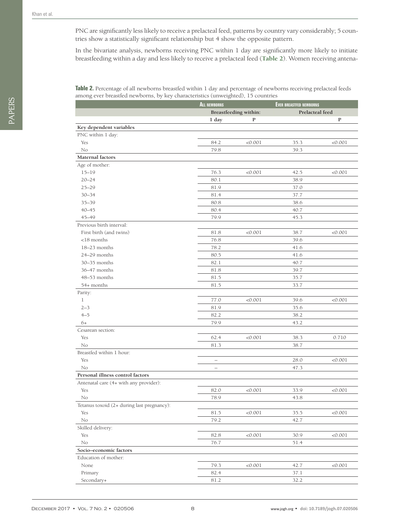PNC are significantly less likely to receive a prelacteal feed, patterns by country vary considerably; 5 countries show a statistically significant relationship but 4 show the opposite pattern.

In the bivariate analysis, newborns receiving PNC within 1 day are significantly more likely to initiate breastfeeding within a day and less likely to receive a prelacteal feed (**[Table 2](#page-7-0)**). Women receiving antena-

<span id="page-7-0"></span>**Table 2.** Percentage of all newborns breastfed within 1 day and percentage of newborns receiving prelacteal feeds among ever breastfed newborns, by key characteristics (unweighted), 15 countries

|                                            | <b>ALL NEWBORNS</b>      |                       | <b>EVER BREASTFED NEWBORNS</b> |              |
|--------------------------------------------|--------------------------|-----------------------|--------------------------------|--------------|
|                                            |                          | Breastfeeding within: | Prelacteal feed                |              |
|                                            | 1 day                    | P                     |                                | $\mathbf{P}$ |
| Key dependent variables                    |                          |                       |                                |              |
| PNC within 1 day:                          |                          |                       |                                |              |
| Yes                                        | 84.2                     | < 0.001               | 35.3                           | < 0.001      |
| No                                         | 79.8                     |                       | 39.3                           |              |
| Maternal factors                           |                          |                       |                                |              |
| Age of mother:                             |                          |                       |                                |              |
| $15 - 19$                                  | 76.3                     | < 0.001               | 42.5                           | < 0.001      |
| $20 - 24$                                  | 80.1                     |                       | 38.9                           |              |
| $25 - 29$                                  | 81.9                     |                       | 37.0                           |              |
| $30 - 34$                                  | 81.4                     |                       | 37.7                           |              |
| $35 - 39$                                  | 80.8                     |                       | 38.6                           |              |
| $40 - 45$                                  | 80.4                     |                       | 40.7                           |              |
| 45-49                                      | 79.9                     |                       | 45.3                           |              |
| Previous birth interval:                   |                          |                       |                                |              |
| First birth (and twins)                    | 81.8                     | < 0.001               | 38.7                           | < 0.001      |
| $<$ 18 months                              | 76.8                     |                       | 39.6                           |              |
| 18–23 months                               | 78.2                     |                       | 41.6                           |              |
| 24-29 months                               | 80.5                     |                       | 41.6                           |              |
| 30-35 months                               | 82.1                     |                       | 40.7                           |              |
| 36-47 months                               | 81.8                     |                       | 39.7                           |              |
| 48-53 months                               | 81.5                     |                       | 35.7                           |              |
| 54+ months                                 | 81.5                     |                       | 33.7                           |              |
| Parity:                                    |                          |                       |                                |              |
| $\mathbf{1}$                               | 77.0                     | < 0.001               | 39.6                           | < 0.001      |
| $2 - 3$                                    | 81.9                     |                       | 35.6                           |              |
| $4 - 5$                                    | 82.2                     |                       | 38.2                           |              |
| $6+$                                       | 79.9                     |                       | 43.2                           |              |
| Cesarean section:                          |                          |                       |                                |              |
| Yes                                        | 62.4                     | < 0.001               | 38.3                           | 0.710        |
| No                                         | 81.3                     |                       | 38.7                           |              |
| Breastfed within 1 hour:                   |                          |                       |                                |              |
| Yes                                        | $\overline{\phantom{m}}$ |                       | 28.0                           | < 0.001      |
| No                                         | $\overline{\phantom{m}}$ |                       | 47.3                           |              |
| Personal illness control factors           |                          |                       |                                |              |
| Antenatal care (4+ with any provider):     |                          |                       |                                |              |
| Yes                                        | 82.0                     | < 0.001               | 33.9                           | < 0.001      |
| No                                         | 78.9                     |                       | 43.8                           |              |
| Tetanus toxoid (2+ during last pregnancy): |                          |                       |                                |              |
| Yes                                        | 81.5                     | < 0.001               | 35.5                           | < 0.001      |
| No                                         | 79.2                     |                       | 42.7                           |              |
| Skilled delivery:                          |                          |                       |                                |              |
| Yes                                        | 82.8                     | < 0.001               | 30.9                           | < 0.001      |
| No                                         | 76.7                     |                       | 51.4                           |              |
| Socio-economic factors                     |                          |                       |                                |              |
| Education of mother:                       |                          |                       |                                |              |
| None                                       | 79.3                     | < 0.001               | 42.7                           | < 0.001      |
| Primary                                    | 82.4                     |                       | 37.1                           |              |
| Secondary+                                 | 81.2                     |                       | 32.2                           |              |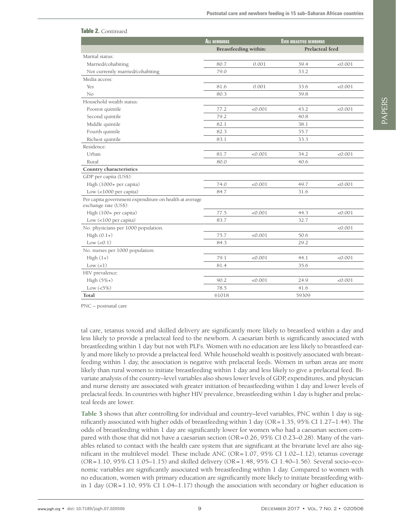|                                                                                 | <b>ALL NEWBORNS</b> |                       | <b>EVER BREASTFED NEWBORNS</b> |         |
|---------------------------------------------------------------------------------|---------------------|-----------------------|--------------------------------|---------|
|                                                                                 |                     | Breastfeeding within: | Prelacteal feed                |         |
| Marital status:                                                                 |                     |                       |                                |         |
| Married/cohabiting                                                              | 80.7                | 0.001                 | 39.4                           | < 0.001 |
| Not currently married/cohabiting                                                | 79.0                |                       | 33.2                           |         |
| Media access:                                                                   |                     |                       |                                |         |
| Yes                                                                             | 81.6                | 0.001                 | 33.6                           | < 0.001 |
| No                                                                              | 80.3                |                       | 39.8                           |         |
| Household wealth status:                                                        |                     |                       |                                |         |
| Poorest quintile                                                                | 77.2                | < 0.001               | 43.2                           | < 0.001 |
| Second quintile                                                                 | 79.2                |                       | 40.8                           |         |
| Middle quintile                                                                 | 82.1                |                       | 38.1                           |         |
| Fourth quintile                                                                 | 82.3                |                       | 35.7                           |         |
| Richest quintile                                                                | 83.1                |                       | 33.3                           |         |
| Residence:                                                                      |                     |                       |                                |         |
| Urban                                                                           | 81.7                | < 0.001               | 34.2                           | < 0.001 |
| Rural                                                                           | 80.0                |                       | 40.6                           |         |
| Country characteristics                                                         |                     |                       |                                |         |
| GDP per capita (US\$):                                                          |                     |                       |                                |         |
| High (1000+ per capita)                                                         | 74.0                | < 0.001               | 49.7                           | < 0.001 |
| Low $($ <1000 per capita)                                                       | 84.7                |                       | 31.6                           |         |
| Per capita government expenditure on health at average<br>exchange rate (US\$): |                     |                       |                                |         |
| High (100+ per capita)                                                          | 77.5                | < 0.001               | 44.3                           | < 0.001 |
| Low (<100 per capita)                                                           | 83.7                |                       | 32.7                           |         |
| No. physicians per 1000 population.                                             |                     |                       |                                | < 0.001 |
| $High(0.1+)$                                                                    | 75.7                | < 0.001               | 50.6                           |         |
| Low $(<0.1)$                                                                    | 84.3                |                       | 29.2                           |         |
| No. nurses per 1000 population:                                                 |                     |                       |                                |         |
| $High(1+)$                                                                      | 79.1                | < 0.001               | 44.1                           | < 0.001 |
| Low (<1)                                                                        | 81.4                |                       | 35.6                           |         |
| HIV prevalence:                                                                 |                     |                       |                                |         |
| $High (5\%+)$                                                                   | 90.2                | < 0.001               | 24.9                           | < 0.001 |
| Low $(<5\%)$                                                                    | 78.5                |                       | 41.6                           |         |
| Total                                                                           | 61018               |                       | 59309                          |         |

PNC – postnatal care

**Table 2.** Continued

tal care, tetanus toxoid and skilled delivery are significantly more likely to breastfeed within a day and less likely to provide a prelacteal feed to the newborn. A caesarian birth is significantly associated with breastfeeding within 1 day but not with PLFs. Women with no education are less likely to breastfeed early and more likely to provide a prelacteal feed. While household wealth is positively associated with breastfeeding within 1 day, the association is negative with prelacetal feeds. Women in urban areas are more likely than rural women to initiate breastfeeding within 1 day and less likely to give a prelacetal feed. Bivariate analysis of the country–level variables also shows lower levels of GDP, expenditures, and physician and nurse density are associated with greater initiation of breastfeeding within 1 day and lower levels of prelacteal feeds. In countries with higher HIV prevalence, breastfeeding within 1 day is higher and prelacteal feeds are lower.

**[Table 3](#page-9-0)** shows that after controlling for individual and country–level variables, PNC within 1 day is significantly associated with higher odds of breastfeeding within 1 day (OR=1.35, 95% CI 1.27–1.44). The odds of breastfeeding within 1 day are significantly lower for women who had a caesarian section compared with those that did not have a caesarian section (OR=0.26, 95% CI 0.23–0.28). Many of the variables related to contact with the health care system that are significant at the bivariate level are also significant in the multilevel model. These include ANC (OR=1.07, 95% CI 1.02–1.12), tetanus coverage (OR=1.10, 95% CI 1.05–1.15) and skilled delivery (OR=1.48, 95% CI 1.40–1.56). Several socio–economic variables are significantly associated with breastfeeding within 1 day. Compared to women with no education, women with primary education are significantly more likely to initiate breastfeeding within 1 day (OR=1.10, 95% CI 1.04–1.17) though the association with secondary or higher education is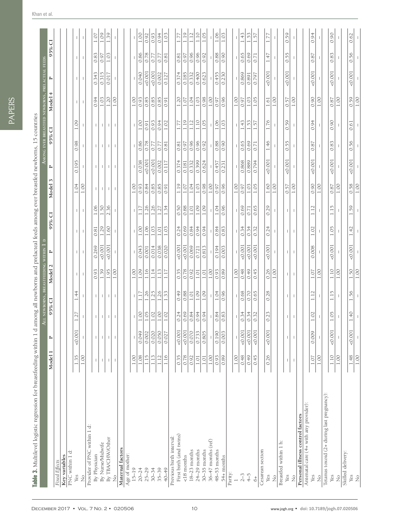<span id="page-9-0"></span>PAPERS **PAPERS** 

| Table 3. Multilevel logistic regression for breastfeeding within 1 d among all newborns and prelacteal feeds among ever breastfed newborns, 15 countries |                                       |                          | L NEWBORNS<br>₹                       |                                       | BREASTFEEDING WITHIN                                              |                                       |              |                                       |                          |              |                                  |                                             | MONG EVER BREASTFED NEWBORNS, PRELACTEAL FEEDS |                                |                                  |                                  |
|----------------------------------------------------------------------------------------------------------------------------------------------------------|---------------------------------------|--------------------------|---------------------------------------|---------------------------------------|-------------------------------------------------------------------|---------------------------------------|--------------|---------------------------------------|--------------------------|--------------|----------------------------------|---------------------------------------------|------------------------------------------------|--------------------------------|----------------------------------|----------------------------------|
|                                                                                                                                                          | Model 1                               | $\sim$                   | 95% CI                                |                                       | Model 2                                                           | $\mathbf{r}$                          | 95%          | $\overline{C}$                        | Model 3                  | ≏            | 95% CI                           |                                             | Model 4                                        | $\sim$                         | 95% CI                           |                                  |
| Fixed Effects                                                                                                                                            |                                       |                          |                                       |                                       |                                                                   |                                       |              |                                       |                          |              |                                  |                                             |                                                |                                |                                  |                                  |
| Key variables                                                                                                                                            |                                       |                          |                                       |                                       |                                                                   |                                       |              |                                       |                          |              |                                  |                                             |                                                |                                |                                  |                                  |
| PNC within 1 d:                                                                                                                                          |                                       |                          |                                       |                                       |                                                                   |                                       |              |                                       |                          |              |                                  |                                             |                                                |                                |                                  |                                  |
| Yes<br>$\frac{1}{2}$                                                                                                                                     | 1.35<br>1.00                          | $-0.001$                 | 1.27                                  | 1.44                                  | $\overline{\phantom{a}}$<br>$\begin{array}{c} \hline \end{array}$ | $\overline{1}$<br>т                   | 1            | $\overline{\phantom{a}}$<br>1         | 1.04<br>1.00             | 0.195        | 0.98                             | 1.09                                        | $\overline{1}$<br>J.                           | $\overline{1}$<br>$\mathbf{I}$ | т<br>$\overline{\phantom{a}}$    | $\overline{1}$<br>$\mathbf{I}$   |
| Provider of PNC within 1 d:                                                                                                                              |                                       |                          |                                       |                                       |                                                                   |                                       |              |                                       |                          |              |                                  |                                             |                                                |                                |                                  |                                  |
| By Physician                                                                                                                                             | $\begin{array}{c} \hline \end{array}$ | $\mathbf{I}$             | $\mathbf{I}$                          | $\mathbf{I}$                          | 0.93                                                              | 0.269                                 | 0.81         | 1.06                                  | $\mathbb{L}$             |              | $\mathbf{I}$                     | $\begin{array}{c} \hline \end{array}$       | 0.94                                           | 0.343                          | 0.83                             | $1.07\,$                         |
| By Nurse/Midwife                                                                                                                                         | $\mathbb T$                           | $\mathbb T$              | $\mathbf{I}$                          | $\mathbf{I}$                          | 1.39                                                              | 0.001                                 | 1.29         | 1.50                                  | $\mathbb{I}$             | $\mathbf{I}$ | $\overline{1}$                   | $\mathbf{I}$                                | 1.03                                           | 0.315                          | 0.97                             | 1.09                             |
| By TBA/CHW/Other                                                                                                                                         | $\mathbf{I}$                          | $\mathbf{I}$             |                                       | $\vert \vert$                         | 1.95                                                              | $-0.001$                              | 1.60         | 2.36                                  | $\mathbf{L}$             |              | $\mathbf{L}$                     | $\mathbf{L}$                                | 1.20                                           | 0.017                          | 1.03                             | 1.39                             |
| $\stackrel{\circ}{\simeq}$                                                                                                                               | $\overline{\phantom{a}}$              | $\overline{\phantom{a}}$ |                                       | $\overline{\phantom{a}}$              | 1.00                                                              |                                       |              |                                       | $\overline{\phantom{a}}$ |              |                                  | $\overline{\phantom{a}}$                    | 1.00                                           |                                |                                  |                                  |
| Maternal factors                                                                                                                                         |                                       |                          |                                       |                                       |                                                                   |                                       |              |                                       |                          |              |                                  |                                             |                                                |                                |                                  |                                  |
| Age of mother:                                                                                                                                           |                                       |                          |                                       |                                       |                                                                   |                                       |              |                                       |                          |              |                                  |                                             |                                                |                                |                                  |                                  |
| $15 - 19$                                                                                                                                                | 1.00                                  |                          |                                       |                                       | 1.00                                                              |                                       |              |                                       | 1.00                     |              |                                  |                                             | 1.00                                           |                                |                                  |                                  |
| $20 - 24$                                                                                                                                                | 1.08                                  | 0.049                    | $1.00\,$                              | 1.17                                  | 1.09                                                              | 0.043                                 | 1.00         | 1.17                                  | 0.93                     | 0.038        | 0.86                             | 1.00                                        | 0.93                                           | 0.040                          | 0.86                             | 1.00                             |
| $25 - 29$                                                                                                                                                | 1.15                                  | 0.002                    | 1.05                                  | 1.26                                  | 1.16                                                              | 0.001                                 | 1.06         | 1.26                                  | 0.84                     | 0.001        | 0.78                             | 0.91                                        | 0.85                                           | 0.001                          | 0.78                             | 0.92                             |
| $30 - 34$                                                                                                                                                | 1.13                                  | 0.020                    | 1.02                                  | 1.25                                  | 1.14                                                              | 0.014                                 | 1.03         | 1.26                                  | 0.85                     | 0.001        | 0.77                             | 0.93                                        | 0.85                                           | 0.001                          | 0.77                             | 0.93                             |
| $35 - 39$                                                                                                                                                | 1.12                                  | 0.050                    | $1.00\,$                              | 1.26                                  | 1.13                                                              | 0.038                                 | $1.01\,$     | 1.27                                  | 0.85                     | 0.002        | 0.77                             | 0.94                                        | 0.85                                           | 0.002                          | 0.77                             | 0.94                             |
| 40-49                                                                                                                                                    | 1.16                                  | 0.027                    | 1.02                                  | 1.33                                  | 1.17                                                              | 0.020                                 | 1.03         | 1.34                                  | 0.91                     | 0.117        | 0.81                             | 1.02                                        | 0.91                                           | 0.127                          | 0.81                             | 1.03                             |
| Previous birth interval:                                                                                                                                 |                                       |                          |                                       |                                       |                                                                   |                                       |              |                                       |                          |              |                                  |                                             |                                                |                                |                                  |                                  |
| First birth (and twins)                                                                                                                                  | 0.35                                  | 0.001                    | 0.24                                  | 0.49                                  | 0.35                                                              | $-0.001$                              | 0.24         | 0.50                                  | 1.19                     | 0.374        | 0.81                             | 1.77                                        | 1.20                                           | 0.374                          | 0.81                             | 1.77                             |
| <18 months                                                                                                                                               | 0.78                                  | $-0.001$                 | 0.69                                  | 0.88                                  | 0.78                                                              | 0.001                                 | 0.69         | 0.88                                  | 1.07                     | 0.181        | 0.97                             | 1.19                                        | $1.07\,$                                       | 0.185                          | 0.97                             | 1.19                             |
| $18-23$ months                                                                                                                                           | 0.92                                  | 0.070                    | 0.84                                  | 1.01                                  | 0.92                                                              | 0.069                                 | 0.84         | 1.01                                  | 1.04                     | 0.332        | 0.96                             | 1.12                                        | 1.04                                           | 0.332                          | 0.96                             | 1.12                             |
| $24-29$ months                                                                                                                                           | 1.01                                  | 0.733                    | 0.94                                  | 1.09                                  | 1.01                                                              | 0.721                                 | 0.94         | 1.09                                  | 1.03                     | 0.399        | 0.96                             | 1.10                                        | 1.03                                           | 0.400                          | 0.96                             | 1.10                             |
| $30 - 35$ months                                                                                                                                         | 1.01                                  | 0.805                    | 0.94                                  | 1.09                                  | 1.01                                                              | 0.813                                 | 0.94         | 1.09                                  | 0.98                     | 0.624        | 0.92                             | 1.05                                        | 0.98                                           | 0.623                          | 0.92                             | 1.05                             |
| $36-47$ months (ref)                                                                                                                                     | 1.00                                  |                          |                                       |                                       | 1.00                                                              |                                       |              |                                       | 1.00                     |              |                                  |                                             | 1.00                                           |                                |                                  |                                  |
| $48-53$ months                                                                                                                                           | 0.93                                  | 0.190                    | 0.84                                  | 1.04                                  | 0.93                                                              | 0.194                                 | 0.84         | 1.04                                  | 0.97                     | 0.457        | 0.88                             | 1.06                                        | 0.97                                           | 0.455                          | 0.88                             | 1.06                             |
| 54+ months                                                                                                                                               | 0.89                                  | 0.003                    | 0.83                                  | 0.96                                  | 0.89                                                              | 0.003                                 | 0.83         | 0.96                                  | 0.96                     | 0.231        | 0.90                             | $1.03$                                      | 0.96                                           | 0.230                          | 0.90                             | $1.03$                           |
| Parity:                                                                                                                                                  |                                       |                          |                                       |                                       |                                                                   |                                       |              |                                       |                          |              |                                  |                                             |                                                |                                |                                  |                                  |
|                                                                                                                                                          | 1.00                                  |                          | $\mathbf{I}$                          |                                       | 1.00                                                              |                                       |              |                                       | 1.00                     |              |                                  | $\mathbb{I}$                                | 1.00                                           |                                |                                  | $\mathbb{L}$                     |
| $2 - 3$                                                                                                                                                  | 0.48                                  | 50.001                   | 0.34                                  | 0.68                                  | 0.48                                                              | 0.001                                 | 0.34         | 0.69                                  | 0.97                     | 0.868        | 0.65                             | 43<br>⊣                                     | 0.97                                           | 0.869                          | 0.65                             | 1.43                             |
| $4-5$                                                                                                                                                    | 0.49                                  | $-0.001$                 | 0.34                                  | 0.70                                  | 0.49                                                              | 0.001                                 | 0.34         | 0.71                                  | $1.03\,$                 | 0.889        | 0.69                             | $\overline{53}$<br>$\overline{\phantom{0}}$ | 1.03                                           | 0.891                          | 0.69                             | 1.53                             |
| $\ddot{\circ}$                                                                                                                                           | 0.45                                  | 0.001                    | 0.32                                  | 0.65                                  | 0.45                                                              | 0.001                                 | 0.32         | 0.65                                  | 1.05                     | 0.794        | 0.71                             | 57<br>$\rightarrow$                         | 1.05                                           | 0.797                          | 0.71                             | 1.57                             |
| Cesarean section                                                                                                                                         |                                       |                          |                                       |                                       |                                                                   |                                       |              |                                       |                          |              |                                  |                                             |                                                |                                |                                  |                                  |
| Yes<br>$\frac{1}{2}$                                                                                                                                     | 0.26                                  | 0.001                    | 0.23                                  | .28<br>ି                              | 1.00<br>0.26                                                      | 0.001                                 | 0.24         | 0.29                                  | 1.00<br>1.60             | 0.001        | 1.46<br>$\overline{\phantom{a}}$ | 1.76<br>$\overline{\phantom{a}}$            | 1.00<br>1.61                                   | 0.001                          | 1.47<br>$\overline{\phantom{a}}$ | 1.77<br>$\overline{\phantom{a}}$ |
| Breastfed within 1 h:                                                                                                                                    |                                       |                          |                                       |                                       |                                                                   |                                       |              |                                       |                          |              |                                  |                                             |                                                |                                |                                  |                                  |
| Yes                                                                                                                                                      | $\,$ $\,$                             | $\mathbb T$              | $\mathbf{I}$                          | $\mathbf{I}$                          | $\overline{1}$                                                    | $\mathbf{I}$                          | $\mathbf{I}$ | $\mathbf{I}$                          | 0.57                     | 0.001        | 55<br>ਂ                          | 0.59                                        | 0.57                                           | 0.001                          | 0.55                             | 0.59                             |
| $\frac{1}{2}$                                                                                                                                            | $\mathsf I$                           | $\mathord{\text{\rm I}}$ | $\begin{array}{c} \hline \end{array}$ | $\begin{array}{c} \hline \end{array}$ | $\mathbf{I}$                                                      | $\begin{array}{c} \hline \end{array}$ | $\mathbf{I}$ | $\begin{array}{c} \hline \end{array}$ | 1.00                     |              | т                                | т                                           | $1.00\,$                                       |                                | $\mathbf{I}$                     | $\mathbb{I}$                     |
| Personal illness control factors                                                                                                                         |                                       |                          |                                       |                                       |                                                                   |                                       |              |                                       |                          |              |                                  |                                             |                                                |                                |                                  |                                  |
| Antenatal care (4+ with any provider):                                                                                                                   |                                       |                          |                                       |                                       |                                                                   |                                       |              |                                       |                          |              |                                  |                                             |                                                |                                |                                  |                                  |
| Yes                                                                                                                                                      | 1.07                                  | 0.009                    | 1.02                                  | 1.12                                  | 1.07                                                              | 0.008                                 | 1.02         | 1.12                                  | 0.90                     | $-0.001$     | 0.87                             | 0.94                                        | 0.90                                           | 0.001                          | 0.87                             | 0.94                             |
| $\frac{1}{2}$                                                                                                                                            | 1.00                                  |                          |                                       |                                       | 1.00                                                              |                                       |              |                                       | 1.00                     |              |                                  |                                             | 1.00                                           |                                |                                  |                                  |
| Tetanus toxoid (2+ during last pregnancy):                                                                                                               |                                       |                          |                                       |                                       |                                                                   |                                       |              |                                       |                          |              |                                  |                                             |                                                |                                |                                  |                                  |
| Yes                                                                                                                                                      | 1.10                                  | $-0.001$                 | 1.05                                  | 1.15                                  | 1.10                                                              | 0.001                                 | $1.05$       | 1.15                                  | 0.87                     | 0.001        | 0.83                             | 0.90                                        | 0.87                                           | 0.001                          | 0.83                             | 0.90                             |
| $\frac{1}{2}$                                                                                                                                            | 1.00                                  |                          |                                       |                                       | 1.00                                                              |                                       |              |                                       | 1.00                     |              |                                  |                                             | 1.00                                           |                                |                                  |                                  |
| Skilled delivery:                                                                                                                                        |                                       |                          |                                       |                                       |                                                                   |                                       |              |                                       |                          |              |                                  |                                             |                                                |                                |                                  |                                  |
| Yes                                                                                                                                                      | 1.48                                  | 50.001                   | 1.40                                  | 1.56                                  | 1.50                                                              | 50.001                                | 1.42         | 1.59                                  | 0.58                     | 50.001       | 0.56                             | 0.61                                        | 0.59                                           | 0.001                          | 0.56                             | 0.62                             |
| $\frac{1}{2}$                                                                                                                                            | $1.00\,$                              | $\, \vert \,$            |                                       |                                       | $1.00\,$                                                          | $\overline{\phantom{a}}$              |              |                                       | $1.00\,$                 |              |                                  |                                             | 1.00                                           | $\overline{\phantom{a}}$       |                                  |                                  |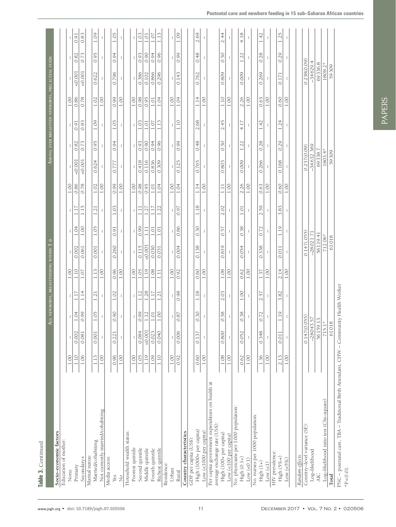| Table 3. Continued                                                                     |              |                          |                 |                                                     |                 |                                        |                          |                                  |                  |                          |                          |                          |                  |                                                 |                          |                          |
|----------------------------------------------------------------------------------------|--------------|--------------------------|-----------------|-----------------------------------------------------|-----------------|----------------------------------------|--------------------------|----------------------------------|------------------|--------------------------|--------------------------|--------------------------|------------------|-------------------------------------------------|--------------------------|--------------------------|
|                                                                                        |              |                          |                 |                                                     |                 | ALL NEWBORNS, BREASTFEEDING WITHIN 1 D |                          |                                  |                  |                          |                          |                          |                  | AMONG EVER BREASTFED NEWBORNS, PRELACTEAL FEEDS |                          |                          |
| Socio-economic factors                                                                 |              |                          |                 |                                                     |                 |                                        |                          |                                  |                  |                          |                          |                          |                  |                                                 |                          |                          |
| Education of mother:                                                                   |              |                          |                 |                                                     |                 |                                        |                          |                                  |                  |                          |                          |                          |                  |                                                 |                          |                          |
| None                                                                                   | $1.00\,$     |                          |                 | $\mathbf{I}$                                        | $1.00\,$        |                                        |                          |                                  | 1.00             |                          |                          |                          | 1.00             |                                                 |                          |                          |
| Primary                                                                                | 1.10         | 0.002                    | 1.04            | 1.17                                                | 1.10            | 0.002                                  | 1.04                     | 1.17                             | 0.86             | 0.001                    | 0.82                     | 0.91                     | 0.86             | 0.001                                           | $0.82\,$                 | 0.91                     |
| Secondary+                                                                             | 1.06         | 0.081                    | $\frac{660}{2}$ | 1.14                                                | $1.07\,$        | 0.061                                  | $1.00\,$                 | 1.15                             | 0.78             | 0.001                    | 0.73                     | 0.83                     | 0.78             | 0.001                                           | 0.73                     | 0.83                     |
| Marital status:                                                                        |              |                          |                 |                                                     |                 |                                        |                          |                                  |                  |                          |                          |                          |                  |                                                 |                          |                          |
| Married/cohabiting                                                                     | 1.13         | 0.001                    | 1.05            | 1.21                                                | 1.13            | 0.001                                  | 1.05                     | 1.21                             | 1.02             | 0.624                    | 0.95                     | 1.09                     | 1.02             | 0.622                                           | 0.95                     | 1.09                     |
| Not currently married/cohabiting                                                       | 1.00         |                          |                 |                                                     | 1.00            |                                        |                          |                                  | $1.00\,$         |                          |                          |                          | $1.00\,$         |                                                 |                          |                          |
| Media access:                                                                          |              |                          |                 |                                                     |                 |                                        |                          |                                  |                  |                          |                          |                          |                  |                                                 |                          |                          |
| Yes                                                                                    | 0.96         | 0.221                    | 0.90            | 1.02                                                | 0.96            | 0.260                                  | 0.91                     | 1.03                             | 0.99             | 0.777                    | 0.94                     | 1.05                     | 0.99             | 0.796                                           | 0.94                     | 1.05                     |
| $\frac{1}{2}$                                                                          | $1.00\,$     |                          |                 | $\overline{\phantom{a}}$                            | 1.00            |                                        | $\overline{\phantom{a}}$ | $\overline{\phantom{a}}$         | $1.00\,$         | $\overline{\phantom{a}}$ | $\overline{\phantom{a}}$ |                          | 1.00             |                                                 |                          | $\overline{1}$           |
| Household wealth status:                                                               |              |                          |                 |                                                     |                 |                                        |                          |                                  |                  |                          |                          |                          |                  |                                                 |                          |                          |
| Poorest quintile                                                                       | $1.00\,$     |                          |                 | $\perp$                                             | 1.00            | I                                      | I                        | $\mathbb{L}$                     | $1.00\,$         |                          | I                        | $\overline{1}$           | $1.00\,$         |                                                 |                          |                          |
| Second quintile                                                                        | 1.05         | 0.084                    | 0.99            | $\overline{1.12}$                                   | 1.05            | 0.115                                  | 0.99                     | $\boxed{1.11}$                   | 0.98             | 0.418                    | 0.93                     | 1.03                     | 0.98             | 0.386                                           | 0.93                     | $1.03$                   |
| Middle quintile                                                                        | 1.19         | 50.001                   | 1.12            | 1.28                                                | 1.19            | 0.001                                  | 1.11                     | 1.27                             | 0.95             | 0.116                    | 0.90                     | 1.01                     | 0.95             | 0.102                                           | 0.90                     | 1.01                     |
| Fourth quintile                                                                        | 1.09         | 0.023                    | $1.01\,$        | 1.17                                                | 1.08            | 0.030                                  | 1.01                     | 1.17                             | $1.01\,$         | 0.836                    | 0.94                     | 1.07                     | $1.01\,$         | 0.866                                           | 0.94                     | 1.07                     |
| Richest quintile                                                                       | 1.10         | 0.040                    | 1.00            | 1.21                                                | $\frac{1}{111}$ | 0.031                                  | 1.01                     | 1.22                             | 1.04             | 0.309                    | 0.96                     | 1.13                     | 1.04             | 0.296                                           | 0.96                     | 1.13                     |
| Residence:                                                                             |              |                          |                 |                                                     |                 |                                        |                          |                                  |                  |                          |                          |                          |                  |                                                 |                          |                          |
| Urban                                                                                  | 1.00         |                          |                 |                                                     | 1.00            |                                        |                          |                                  | 1.00             |                          |                          |                          | 1.00             |                                                 |                          |                          |
| Rural                                                                                  | 0.92         | 0.006                    | 0.87            | 0.98                                                | 0.92            | 0.004                                  | 0.86                     | 0.97                             | 1.04             | 0.125                    | 0.99                     | 1.10                     | 1.04             | 0.143                                           | 0.99                     | 1.09                     |
| Country characteristics                                                                |              |                          |                 |                                                     |                 |                                        |                          |                                  |                  |                          |                          |                          |                  |                                                 |                          |                          |
| GDP per capita (US\$):                                                                 |              |                          |                 |                                                     |                 |                                        |                          |                                  |                  |                          |                          |                          |                  |                                                 |                          |                          |
| High (1000+ per capita)                                                                | 0.60         | 0.137                    | 0.30            | 1.18                                                | 0.60            | 0.138                                  | 0.30                     | 1.18                             | 1.14             | 0.765                    | 0.48                     | 2.68                     | 1.14             | 0.762                                           | 0.48                     | 2.69                     |
| Low (<1000 per capita)                                                                 | $1.00\,$     |                          | -1              | $\overline{\phantom{a}}$                            | $1.00\,$        |                                        |                          | $\mathbf{I}$                     | 1.00             |                          | $\overline{\phantom{a}}$ | $\overline{\phantom{a}}$ | $1.00\,$         |                                                 |                          |                          |
| Per capita government expenditure on health at<br>average exchange rate (US\$):        |              |                          |                 |                                                     |                 |                                        |                          |                                  |                  |                          |                          |                          |                  |                                                 |                          |                          |
| High (100+ per capita)                                                                 | 1.08         | 0.800                    | 0.58            | 2.03                                                | 1.08            | 0.819                                  | 0.57                     | 2.02                             | $\Xi$            | 0.803                    | 0.50                     | 2.45                     | 1.10             | 0.809                                           | 0.50                     | 2.44                     |
| Low $(<$ 100 per capita)                                                               | $1.00\,$     | $\overline{\phantom{a}}$ | т               | т                                                   | $1.00\,$        | -1                                     | 1                        | $\mathbb I$                      | $1.00\,$         |                          | $\mathbf{I}$             | $\mathbb I$              | $1.00\,$         |                                                 | $\overline{\phantom{a}}$ | $\overline{\phantom{a}}$ |
| No. physicians per 1000 population:                                                    |              |                          |                 |                                                     |                 |                                        |                          |                                  |                  |                          |                          |                          |                  |                                                 |                          |                          |
| High $(0.1+)$                                                                          | 0.62         | 0.052                    | 0.38            | 1.00                                                | 0.62            | 0.054                                  | 0.38                     | 1.01                             | 2.26             | 0.009                    | 1.22                     | 4.17                     | 2.26             | 0.009                                           | 1.22                     | 4.18                     |
| Low (< 0.1)                                                                            | $1.00\,$     |                          |                 | $\mathbf{I}$                                        | $1.00\,$        |                                        |                          |                                  | $1.00\,$         |                          |                          |                          | $1.00\,$         |                                                 |                          |                          |
| No. nurses per 1000 population:                                                        |              |                          |                 |                                                     |                 |                                        |                          |                                  |                  |                          |                          |                          |                  |                                                 |                          |                          |
| High $(1+)$<br>Low (< 1)                                                               | 1.36<br>1.00 | 0.348                    | 0.72            | 57<br>$\overline{\phantom{a}}$<br>$\overline{\sim}$ | 1.37<br>1.00    | 0.338                                  | 0.72                     | 2.59<br>$\overline{\phantom{a}}$ | $1.00\,$<br>0.63 | 0.266                    | 0.28                     | 1.42                     | $1.00\,$<br>0.63 | 0.269                                           | 0.28                     | 1.42                     |
| HIV prevalence:                                                                        |              |                          |                 |                                                     |                 |                                        |                          |                                  |                  |                          |                          |                          |                  |                                                 |                          |                          |
| High $(5\%+)$                                                                          | 2.13         | 0.011                    | 1.19            | 82<br>3.                                            | 2.14            | 0.011                                  | 1.19                     | 3.83                             | 0.60             | 0.168                    | 0.29                     | 1.24                     | 0.60             | 0.171                                           | 0.29                     | 1.25                     |
| Low $(<5\%)$                                                                           | 1.00         |                          | I               |                                                     | $1.00\,$        |                                        |                          |                                  | $1.00\,$         |                          |                          |                          | $1.00\,$         |                                                 |                          |                          |
|                                                                                        |              |                          |                 |                                                     |                 |                                        |                          |                                  |                  |                          |                          |                          |                  |                                                 |                          |                          |
| Random effects                                                                         |              |                          |                 |                                                     |                 |                                        |                          |                                  |                  |                          |                          |                          |                  |                                                 |                          |                          |
| Country-level variance (SE):                                                           |              | 0.147(0.055)             |                 |                                                     |                 | 0.147(.055)                            |                          |                                  |                  | 0.237(0.09)              |                          |                          |                  | 0.238(0.09)                                     |                          |                          |
| Log-likelihood                                                                         |              | $-28043.57$              |                 |                                                     |                 | $-28021.71$                            |                          |                                  |                  | $-34632.369$             |                          |                          |                  | $-34629.4$                                      |                          |                          |
| <b>AIC</b>                                                                             |              | 56159.13                 |                 |                                                     |                 | 56119.41                               |                          |                                  |                  | 69338.7                  |                          |                          |                  | 69336.8                                         |                          |                          |
| Log-likelihood ratio test (Chi-square)                                                 |              | 715.1*                   |                 |                                                     |                 | 712.06*                                |                          |                                  |                  | 1803.4*                  |                          |                          |                  | 1808.2*                                         |                          |                          |
| Total                                                                                  |              | 61018                    |                 |                                                     |                 | 61018                                  |                          |                                  |                  | 59309                    |                          |                          |                  | 59309                                           |                          |                          |
| PNC - postnatal care, TBA - Traditional Birth Attendant, CHW - Community Health Worker |              |                          |                 |                                                     |                 |                                        |                          |                                  |                  |                          |                          |                          |                  |                                                 |                          |                          |
| $*P < 0.01$ .                                                                          |              |                          |                 |                                                     |                 |                                        |                          |                                  |                  |                          |                          |                          |                  |                                                 |                          |                          |

PAPERS

**PAPERS**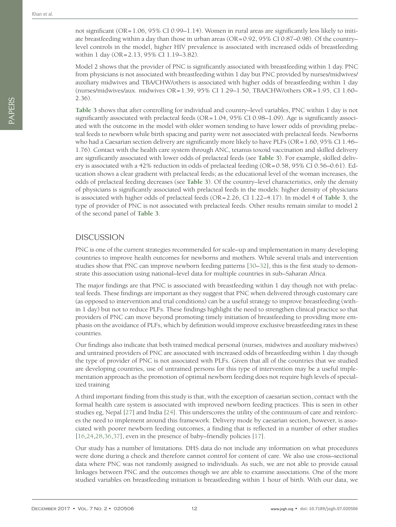not significant (OR=1.06, 95% CI 0.99–1.14). Women in rural areas are significantly less likely to initiate breastfeeding within a day than those in urban areas (OR=0.92, 95% CI 0.87–0.98). Of the country– level controls in the model, higher HIV prevalence is associated with increased odds of breastfeeding within 1 day (OR=2.13, 95% CI 1.19–3.82).

Model 2 shows that the provider of PNC is significantly associated with breastfeeding within 1 day. PNC from physicians is not associated with breastfeeding within 1 day but PNC provided by nurses/midwives/ auxiliary midwives and TBA/CHW/others is associated with higher odds of breastfeeding within 1 day (nurses/midwives/aux. midwives OR=1.39, 95% CI 1.29–1.50, TBA/CHW/others OR=1.95, CI 1.60– 2.36).

**[Table 3](#page-9-0)** shows that after controlling for individual and country–level variables, PNC within 1 day is not significantly associated with prelacteal feeds  $(OR=1.04, 95\% \text{ CI } 0.98-1.09)$ . Age is significantly associated with the outcome in the model with older women tending to have lower odds of providing prelacteal feeds to newborn while birth spacing and parity were not associated with prelacteal feeds. Newborns who had a Caesarian section delivery are significantly more likely to have PLFs (OR=1.60, 95% CI 1.46– 1.76). Contact with the health care system through ANC, tetanus toxoid vaccination and skilled delivery are significantly associated with lower odds of prelacteal feeds (see **[Table 3](#page-9-0)**). For example, skilled delivery is associated with a 42% reduction in odds of prelacteal feeding (OR=0.58, 95% CI 0.56–0.61). Education shows a clear gradient with prelacteal feeds; as the educational level of the woman increases, the odds of prelacteal feeding decreases (see **[Table 3](#page-9-0)**). Of the country–level characteristics, only the density of physicians is significantly associated with prelacteal feeds in the models: higher density of physicians is associated with higher odds of prelacteal feeds (OR=2.26, CI 1.22–4.17). In model 4 of **[Table 3](#page-9-0)**, the type of provider of PNC is not associated with prelacteal feeds. Other results remain similar to model 2 of the second panel of **[Table 3](#page-9-0)**.

#### **DISCUSSION**

PNC is one of the current strategies recommended for scale–up and implementation in many developing countries to improve health outcomes for newborns and mothers. While several trials and intervention studies show that PNC can improve newborn feeding patterns [[30](#page-13-17)[–32](#page-13-18)], this is the first study to demonstrate this association using national–level data for multiple countries in sub–Saharan Africa.

The major findings are that PNC is associated with breastfeeding within 1 day though not with prelacteal feeds. These findings are important as they suggest that PNC when delivered through customary care (as opposed to intervention and trial conditions) can be a useful strategy to improve breastfeeding (within 1 day) but not to reduce PLFs. These findings highlight the need to strengthen clinical practice so that providers of PNC can move beyond promoting timely initiation of breastfeeding to providing more emphasis on the avoidance of PLFs, which by definition would improve exclusive breastfeeding rates in these countries.

Our findings also indicate that both trained medical personal (nurses, midwives and auxiliary midwives) and untrained providers of PNC are associated with increased odds of breastfeeding within 1 day though the type of provider of PNC is not associated with PLFs. Given that all of the countries that we studied are developing countries, use of untrained persons for this type of intervention may be a useful implementation approach as the promotion of optimal newborn feeding does not require high levels of specialized training

A third important finding from this study is that, with the exception of caesarian section, contact with the formal health care system is associated with improved newborn feeding practices. This is seen in other studies eg, Nepal [[27](#page-13-14)] and India [[24\]](#page-13-11). This underscores the utility of the continuum of care and reinforces the need to implement around this framework. Delivery mode by caesarian section, however, is associated with poorer newborn feeding outcomes, a finding that is reflected in a number of other studies [[16](#page-13-3)[,24](#page-13-11)[,28](#page-13-15),[36](#page-13-22)[,37](#page-13-23)], even in the presence of baby–friendly policies [[17](#page-13-4)].

Our study has a number of limitations. DHS data do not include any information on what procedures were done during a check and therefore cannot control for content of care. We also use cross–sectional data where PNC was not randomly assigned to individuals. As such, we are not able to provide causal linkages between PNC and the outcomes though we are able to examine associations. One of the more studied variables on breastfeeding initiation is breastfeeding within 1 hour of birth. With our data, we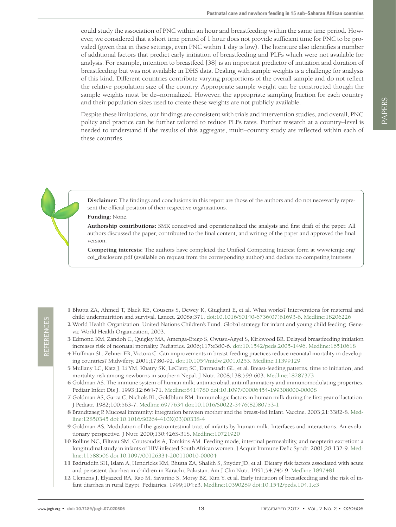could study the association of PNC within an hour and breastfeeding within the same time period. However, we considered that a short time period of 1 hour does not provide sufficient time for PNC to be provided (given that in these settings, even PNC within 1 day is low). The literature also identifies a number of additional factors that predict early initiation of breastfeeding and PLFs which were not available for analysis. For example, intention to breastfeed [38] is an important predictor of initiation and duration of breastfeeding but was not available in DHS data. Dealing with sample weights is a challenge for analysis of this kind. Different countries contribute varying proportions of the overall sample and do not reflect the relative population size of the country. Appropriate sample weight can be constructed though the sample weights must be de–normalized. However, the appropriate sampling fraction for each country and their population sizes used to create these weights are not publicly available.

Despite these limitations, our findings are consistent with trials and intervention studies, and overall, PNC policy and practice can be further tailored to reduce PLFs rates. Further research at a country–level is needed to understand if the results of this aggregate, multi–country study are reflected within each of these countries.

**Disclaimer:** The findings and conclusions in this report are those of the authors and do not necessarily represent the official position of their respective organizations.

#### **Funding:** None.

**Authorship contributions:** SMK conceived and operationalized the analysis and first draft of the paper. All authors discussed the paper, contributed to the final content, and writing of the paper and approved the final version.

**Competing interests:** The authors have completed the Unified Competing Interest form at www.icmje.org/ coi\_disclosure.pdf (available on request from the corresponding author) and declare no competing interests.

- <span id="page-12-0"></span> 1 Bhutta ZA, Ahmed T, Black RE, Cousens S, Dewey K, Giugliani E, et al. What works? Interventions for maternal and child undernutrition and survival. Lancet. 2008a;371. [doi:10.1016/S0140-6736\(07\)61693-6.](https://doi.org/10.1016/S0140-6736(07)61693-6) [Medline:18206226](https://www.ncbi.nlm.nih.gov/entrez/query.fcgi?cmd=Retrieve&db=PubMed&list_uids=18206226&dopt=Abstract)
- <span id="page-12-1"></span> 2 World Health Organization, United Nations Children's Fund. Global strategy for infant and young child feeding. Geneva: World Health Organization, 2003.
- <span id="page-12-2"></span> 3 Edmond KM, Zandoh C, Quigley MA, Amenga-Etego S, Owusu-Agyei S, Kirkwood BR. Delayed breastfeeding initiation increases risk of neonatal mortality. Pediatrics. 2006;117:e380-6. [doi:10.1542/peds.2005-1496.](https://doi.org/10.1542/peds.2005-1496) [Medline:16510618](https://www.ncbi.nlm.nih.gov/entrez/query.fcgi?cmd=Retrieve&db=PubMed&list_uids=16510618&dopt=Abstract)
- 4 Huffman SL, Zehner ER, Victora C. Can improvements in breast-feeding practices reduce neonatal mortality in developing countries? Midwifery. 2001;17:80-92. [doi:10.1054/midw.2001.0253](https://doi.org/10.1054/midw.2001.0253)[. Medline:11399129](https://www.ncbi.nlm.nih.gov/entrez/query.fcgi?cmd=Retrieve&db=PubMed&list_uids=11399129&dopt=Abstract)
- <span id="page-12-3"></span> 5 Mullany LC, Katz J, Li YM, Khatry SK, LeClerq SC, Darmstadt GL, et al. Breast-feeding patterns, time to initiation, and mortality risk among newborns in southern Nepal. J Nutr. 2008;138:599-603[. Medline:18287373](https://www.ncbi.nlm.nih.gov/entrez/query.fcgi?cmd=Retrieve&db=PubMed&list_uids=18287373&dopt=Abstract)
- <span id="page-12-4"></span> 6 Goldman AS. The immune system of human milk: antimicrobial, antiinflammatory and immunomodulating properties. Pediatr Infect Dis J. 1993;12:664-71. [Medline:8414780](https://www.ncbi.nlm.nih.gov/entrez/query.fcgi?cmd=Retrieve&db=PubMed&list_uids=8414780&dopt=Abstract) [doi:10.1097/00006454-199308000-00008](https://doi.org/10.1097/00006454-199308000-00008)
- 7 Goldman AS, Garza C, Nichols BL, Goldblum RM. Immunologic factors in human milk during the first year of lactation. J Pediatr. 1982;100:563-7[. Medline:6977634](https://www.ncbi.nlm.nih.gov/entrez/query.fcgi?cmd=Retrieve&db=PubMed&list_uids=6977634&dopt=Abstract) [doi:10.1016/S0022-3476\(82\)80753-1](https://doi.org/10.1016/S0022-3476(82)80753-1)
- <span id="page-12-5"></span> 8 Brandtzaeg P. Mucosal immunity: integration between mother and the breast-fed infant. Vaccine. 2003;21:3382-8[. Med](https://www.ncbi.nlm.nih.gov/entrez/query.fcgi?cmd=Retrieve&db=PubMed&list_uids=12850345&dopt=Abstract)[line:12850345](https://www.ncbi.nlm.nih.gov/entrez/query.fcgi?cmd=Retrieve&db=PubMed&list_uids=12850345&dopt=Abstract) [doi:10.1016/S0264-410X\(03\)00338-4](https://doi.org/10.1016/S0264-410X(03)00338-4)
- <span id="page-12-6"></span> 9 Goldman AS. Modulation of the gastrointestinal tract of infants by human milk. Interfaces and interactions. An evolutionary perspective. J Nutr. 2000;130:426S-31S. [Medline:10721920](https://www.ncbi.nlm.nih.gov/entrez/query.fcgi?cmd=Retrieve&db=PubMed&list_uids=10721920&dopt=Abstract)
- <span id="page-12-7"></span>10 Rollins NC, Filteau SM, Coutsoudis A, Tomkins AM. Feeding mode, intestinal permeability, and neopterin excretion: a longitudinal study in infants of HIV-infected South African women. J Acquir Immune Defic Syndr. 2001;28:132-9. [Med](https://www.ncbi.nlm.nih.gov/entrez/query.fcgi?cmd=Retrieve&db=PubMed&list_uids=11588506&dopt=Abstract)[line:11588506](https://www.ncbi.nlm.nih.gov/entrez/query.fcgi?cmd=Retrieve&db=PubMed&list_uids=11588506&dopt=Abstract) [doi:10.1097/00126334-200110010-00004](https://doi.org/10.1097/00126334-200110010-00004)
- <span id="page-12-8"></span>11 Badruddin SH, Islam A, Hendricks KM, Bhutta ZA, Shaikh S, Snyder JD, et al. Dietary risk factors associated with acute and persistent diarrhea in children in Karachi, Pakistan. Am J Clin Nutr. 1991;54:745-9. [Medline:1897481](https://www.ncbi.nlm.nih.gov/entrez/query.fcgi?cmd=Retrieve&db=PubMed&list_uids=1897481&dopt=Abstract)
- 12 Clemens J, Elyazeed RA, Rao M, Savarino S, Morsy BZ, Kim Y, et al. Early initiation of breastfeeding and the risk of infant diarrhea in rural Egypt. Pediatrics. 1999;104:e3[. Medline:10390289](https://www.ncbi.nlm.nih.gov/entrez/query.fcgi?cmd=Retrieve&db=PubMed&list_uids=10390289&dopt=Abstract) [doi:10.1542/peds.104.1.e3](https://doi.org/10.1542/peds.104.1.e3)